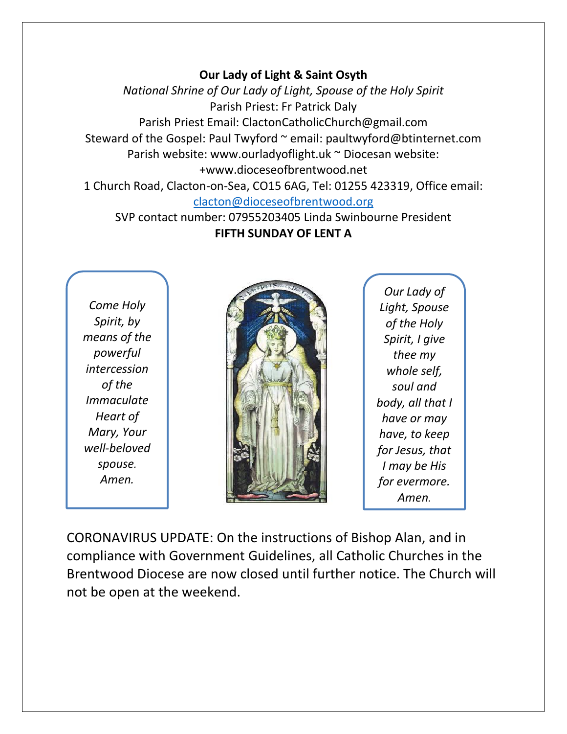## **Our Lady of Light & Saint Osyth**

*National Shrine of Our Lady of Light, Spouse of the Holy Spirit* Parish Priest: Fr Patrick Daly Parish Priest Email: ClactonCatholicChurch@gmail.com Steward of the Gospel: Paul Twyford ~ email: paultwyford@btinternet.com Parish website: www.ourladyoflight.uk ~ Diocesan website: +www.dioceseofbrentwood.net 1 Church Road, Clacton-on-Sea, CO15 6AG, Tel: 01255 423319, Office email:

## [clacton@dioceseofbrentwood.org](mailto:clacton@dioceseofbrentwood.org)

SVP contact number: 07955203405 Linda Swinbourne President **FIFTH SUNDAY OF LENT A**

*Come Holy Spirit, by means of the powerful intercession of the Immaculate Heart of Mary, Your well-beloved spouse. Amen.*



*Our Lady of Light, Spouse of the Holy Spirit, I give thee my whole self, soul and body, all that I have or may have, to keep for Jesus, that I may be His for evermore. Amen.*

CORONAVIRUS UPDATE: On the instructions of Bishop Alan, and in compliance with Government Guidelines, all Catholic Churches in the Brentwood Diocese are now closed until further notice. The Church will not be open at the weekend.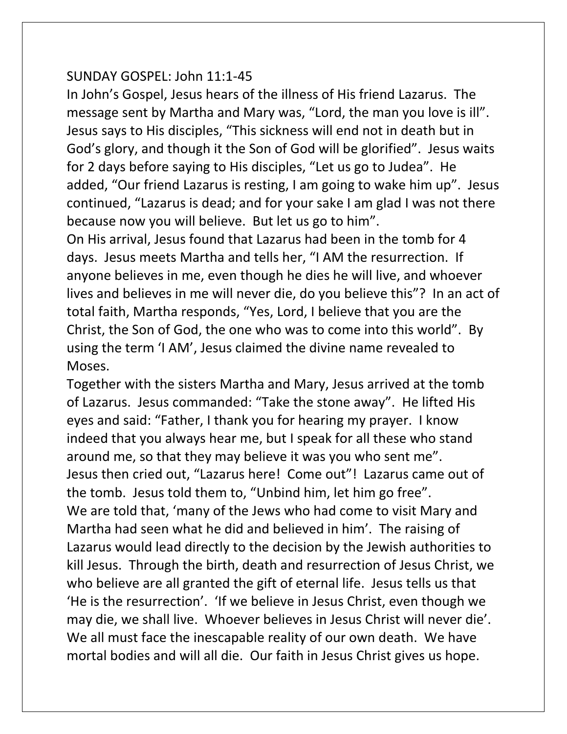## SUNDAY GOSPEL: John 11:1-45

In John's Gospel, Jesus hears of the illness of His friend Lazarus. The message sent by Martha and Mary was, "Lord, the man you love is ill". Jesus says to His disciples, "This sickness will end not in death but in God's glory, and though it the Son of God will be glorified". Jesus waits for 2 days before saying to His disciples, "Let us go to Judea". He added, "Our friend Lazarus is resting, I am going to wake him up". Jesus continued, "Lazarus is dead; and for your sake I am glad I was not there because now you will believe. But let us go to him".

On His arrival, Jesus found that Lazarus had been in the tomb for 4 days. Jesus meets Martha and tells her, "I AM the resurrection. If anyone believes in me, even though he dies he will live, and whoever lives and believes in me will never die, do you believe this"? In an act of total faith, Martha responds, "Yes, Lord, I believe that you are the Christ, the Son of God, the one who was to come into this world". By using the term 'I AM', Jesus claimed the divine name revealed to Moses.

Together with the sisters Martha and Mary, Jesus arrived at the tomb of Lazarus. Jesus commanded: "Take the stone away". He lifted His eyes and said: "Father, I thank you for hearing my prayer. I know indeed that you always hear me, but I speak for all these who stand around me, so that they may believe it was you who sent me". Jesus then cried out, "Lazarus here! Come out"! Lazarus came out of the tomb. Jesus told them to, "Unbind him, let him go free". We are told that, 'many of the Jews who had come to visit Mary and Martha had seen what he did and believed in him'. The raising of Lazarus would lead directly to the decision by the Jewish authorities to kill Jesus. Through the birth, death and resurrection of Jesus Christ, we who believe are all granted the gift of eternal life. Jesus tells us that 'He is the resurrection'. 'If we believe in Jesus Christ, even though we may die, we shall live. Whoever believes in Jesus Christ will never die'. We all must face the inescapable reality of our own death. We have mortal bodies and will all die. Our faith in Jesus Christ gives us hope.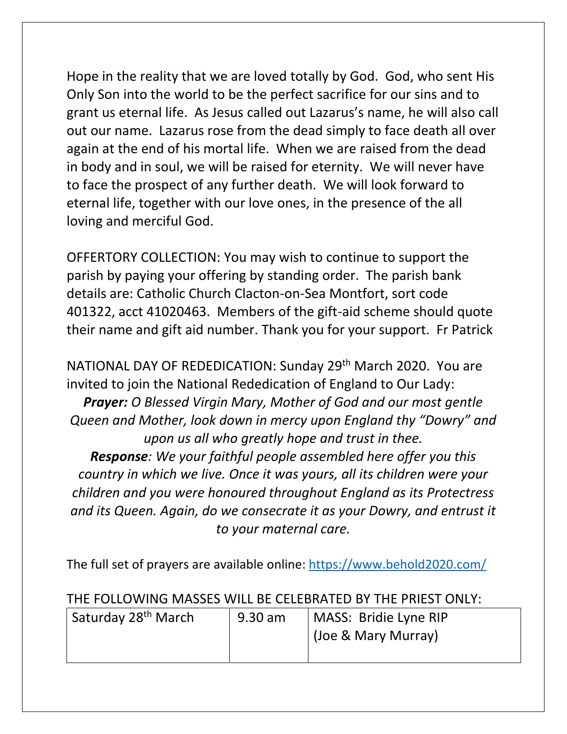Hope in the reality that we are loved totally by God. God, who sent His Only Son into the world to be the perfect sacrifice for our sins and to grant us eternal life. As Jesus called out Lazarus's name, he will also call out our name. Lazarus rose from the dead simply to face death all over again at the end of his mortal life. When we are raised from the dead in body and in soul, we will be raised for eternity. We will never have to face the prospect of any further death. We will look forward to eternal life, together with our love ones, in the presence of the all loving and merciful God.

OFFERTORY COLLECTION: You may wish to continue to support the parish by paying your offering by standing order. The parish bank details are: Catholic Church Clacton-on-Sea Montfort, sort code 401322, acct 41020463. Members of the gift-aid scheme should quote their name and gift aid number. Thank you for your support. Fr Patrick

NATIONAL DAY OF REDEDICATION: Sunday 29th March 2020. You are invited to join the National Rededication of England to Our Lady:

*Prayer: O Blessed Virgin Mary, Mother of God and our most gentle Queen and Mother, look down in mercy upon England thy "Dowry" and upon us all who greatly hope and trust in thee.*

*Response: We your faithful people assembled here offer you this country in which we live. Once it was yours, all its children were your children and you were honoured throughout England as its Protectress and its Queen. Again, do we consecrate it as your Dowry, and entrust it to your maternal care.*

The full set of prayers are available online:<https://www.behold2020.com/>

## THE FOLLOWING MASSES WILL BE CELEBRATED BY THE PRIEST ONLY:

| Saturday 28 <sup>th</sup> March | 9.30 am | MASS: Bridie Lyne RIP |
|---------------------------------|---------|-----------------------|
|                                 |         | (Joe & Mary Murray)   |
|                                 |         |                       |